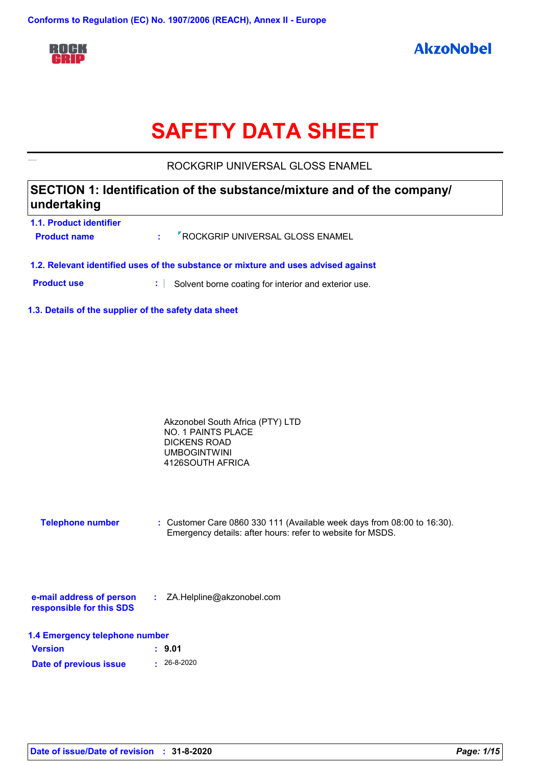

# **SAFETY DATA SHEET**

ROCKGRIP UNIVERSAL GLOSS ENAMEL

# **SECTION 1: Identification of the substance/mixture and of the company/ undertaking**

| <b>1.1. Product identifier</b><br><b>Product name</b>                              |  | : <sup>7</sup> ROCKGRIP UNIVERSAL GLOSS ENAMEL |  |
|------------------------------------------------------------------------------------|--|------------------------------------------------|--|
| 1.2. Relevant identified uses of the substance or mixture and uses advised against |  |                                                |  |

**Product use <b>:** Solvent borne coating for interior and exterior use.

**1.3. Details of the supplier of the safety data sheet**

| Akzonobel South Africa (PTY) LTD |  |
|----------------------------------|--|
| NO. 1 PAINTS PLACE               |  |
| DICKENS ROAD                     |  |
| <b>UMBOGINTWINI</b>              |  |
| 4126SOUTH AFRICA                 |  |
|                                  |  |

**Telephone number :** Customer Care 0860 330 111 (Available week days from 08:00 to 16:30). Emergency details: after hours: refer to website for MSDS.

| e-mail address of person | ZA.Helpline@akzonobel.com |  |
|--------------------------|---------------------------|--|
| responsible for this SDS |                           |  |

| 1.4 Emergency telephone number |                   |  |
|--------------------------------|-------------------|--|
| <b>Version</b>                 | : 9.01            |  |
| Date of previous issue         | $\cdot$ 26-8-2020 |  |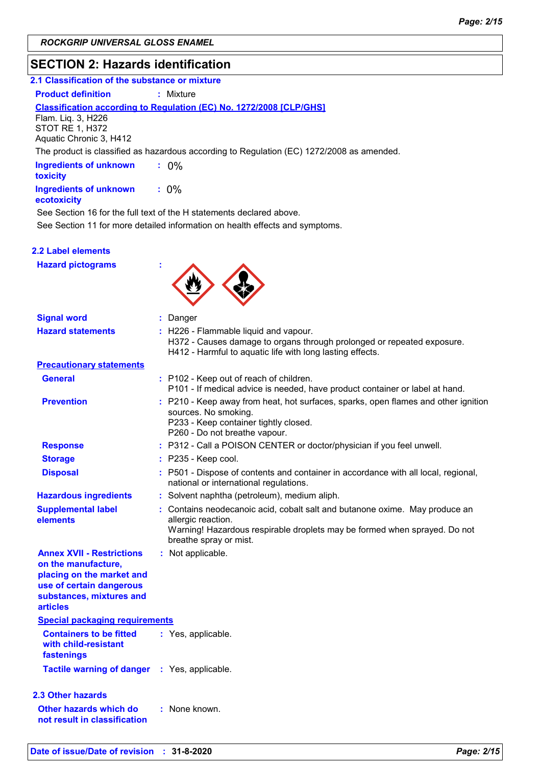# **SECTION 2: Hazards identification**

| 2.1 Classification of the substance or mixture |  |
|------------------------------------------------|--|
|                                                |  |

**Product definition : Mixture** 

#### **Classification according to Regulation (EC) No. 1272/2008 [CLP/GHS]**

Flam. Liq. 3, H226 STOT RE 1, H372 Aquatic Chronic 3, H412

The product is classified as hazardous according to Regulation (EC) 1272/2008 as amended.

| <b>Ingredients of unknown</b><br>toxicity    | $: 0\%$ |
|----------------------------------------------|---------|
| <b>Ingredients of unknown</b><br>ecotoxicity | $: 0\%$ |

See Section 16 for the full text of the H statements declared above.

See Section 11 for more detailed information on health effects and symptoms.

#### **2.2 Label elements**

**Hazard pictograms :**



| <b>Signal word</b>                                                                                                                                              | : Danger                                                                                                                                                                                                 |
|-----------------------------------------------------------------------------------------------------------------------------------------------------------------|----------------------------------------------------------------------------------------------------------------------------------------------------------------------------------------------------------|
| <b>Hazard statements</b>                                                                                                                                        | : H226 - Flammable liquid and vapour.<br>H372 - Causes damage to organs through prolonged or repeated exposure.<br>H412 - Harmful to aquatic life with long lasting effects.                             |
| <b>Precautionary statements</b>                                                                                                                                 |                                                                                                                                                                                                          |
| <b>General</b>                                                                                                                                                  | : P102 - Keep out of reach of children.<br>P101 - If medical advice is needed, have product container or label at hand.                                                                                  |
| <b>Prevention</b>                                                                                                                                               | : P210 - Keep away from heat, hot surfaces, sparks, open flames and other ignition<br>sources. No smoking.<br>P233 - Keep container tightly closed.<br>P260 - Do not breathe vapour.                     |
| <b>Response</b>                                                                                                                                                 | : P312 - Call a POISON CENTER or doctor/physician if you feel unwell.                                                                                                                                    |
| <b>Storage</b>                                                                                                                                                  | $:$ P235 - Keep cool.                                                                                                                                                                                    |
| <b>Disposal</b>                                                                                                                                                 | : P501 - Dispose of contents and container in accordance with all local, regional,<br>national or international regulations.                                                                             |
| <b>Hazardous ingredients</b>                                                                                                                                    | : Solvent naphtha (petroleum), medium aliph.                                                                                                                                                             |
| <b>Supplemental label</b><br>elements                                                                                                                           | : Contains neodecanoic acid, cobalt salt and butanone oxime. May produce an<br>allergic reaction.<br>Warning! Hazardous respirable droplets may be formed when sprayed. Do not<br>breathe spray or mist. |
| <b>Annex XVII - Restrictions</b><br>on the manufacture,<br>placing on the market and<br>use of certain dangerous<br>substances, mixtures and<br><b>articles</b> | : Not applicable.                                                                                                                                                                                        |
| <b>Special packaging requirements</b>                                                                                                                           |                                                                                                                                                                                                          |
| <b>Containers to be fitted</b><br>with child-resistant<br>fastenings                                                                                            | : Yes, applicable.                                                                                                                                                                                       |
| <b>Tactile warning of danger : Yes, applicable.</b>                                                                                                             |                                                                                                                                                                                                          |
| 2.3 Other hazards                                                                                                                                               |                                                                                                                                                                                                          |
| Other hazards which do<br>not result in classification                                                                                                          | : None known.                                                                                                                                                                                            |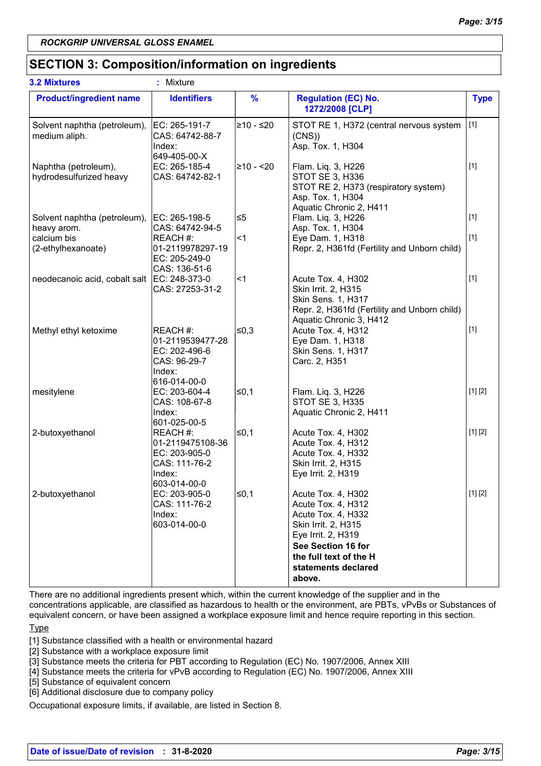# **SECTION 3: Composition/information on ingredients**

| <b>3.2 Mixtures</b>                             | ÷<br>Mixture                                                                             |               |                                                                                                                                                                                              |             |
|-------------------------------------------------|------------------------------------------------------------------------------------------|---------------|----------------------------------------------------------------------------------------------------------------------------------------------------------------------------------------------|-------------|
| <b>Product/ingredient name</b>                  | <b>Identifiers</b>                                                                       | $\frac{9}{6}$ | <b>Regulation (EC) No.</b><br>1272/2008 [CLP]                                                                                                                                                | <b>Type</b> |
| Solvent naphtha (petroleum),<br>medium aliph.   | EC: 265-191-7<br>CAS: 64742-88-7<br>Index:<br>649-405-00-X                               | l≥10 - ≤20    | STOT RE 1, H372 (central nervous system<br>(CNS)<br>Asp. Tox. 1, H304                                                                                                                        | $[1]$       |
| Naphtha (petroleum),<br>hydrodesulfurized heavy | EC: 265-185-4<br>CAS: 64742-82-1                                                         | 210 - <20     | Flam. Liq. 3, H226<br>STOT SE 3, H336<br>STOT RE 2, H373 (respiratory system)<br>Asp. Tox. 1, H304<br>Aquatic Chronic 2, H411                                                                | $[1]$       |
| Solvent naphtha (petroleum),<br>heavy arom.     | EC: 265-198-5<br>CAS: 64742-94-5                                                         | ≤5            | Flam. Liq. 3, H226<br>Asp. Tox. 1, H304                                                                                                                                                      | $[1]$       |
| calcium bis<br>(2-ethylhexanoate)               | REACH#:<br>01-2119978297-19<br>EC: 205-249-0<br>CAS: 136-51-6                            | l<1           | Eye Dam. 1, H318<br>Repr. 2, H361fd (Fertility and Unborn child)                                                                                                                             | $[1]$       |
| neodecanoic acid, cobalt salt                   | EC: 248-373-0<br>CAS: 27253-31-2                                                         | ∣<1           | Acute Tox. 4, H302<br>Skin Irrit. 2, H315<br>Skin Sens. 1, H317<br>Repr. 2, H361fd (Fertility and Unborn child)<br>Aquatic Chronic 3, H412                                                   | $[1]$       |
| Methyl ethyl ketoxime                           | REACH #:<br>01-2119539477-28<br>EC: 202-496-6<br>CAS: 96-29-7<br>Index:<br>616-014-00-0  | ≰0,3          | Acute Tox. 4, H312<br>Eye Dam. 1, H318<br>Skin Sens. 1, H317<br>Carc. 2, H351                                                                                                                | $[1]$       |
| mesitylene                                      | EC: 203-604-4<br>CAS: 108-67-8<br>Index:<br>601-025-00-5                                 | ≤0,1          | Flam. Liq. 3, H226<br><b>STOT SE 3, H335</b><br>Aquatic Chronic 2, H411                                                                                                                      | [1] [2]     |
| 2-butoxyethanol                                 | REACH #:<br>01-2119475108-36<br>EC: 203-905-0<br>CAS: 111-76-2<br>Index:<br>603-014-00-0 | l≤0,1         | Acute Tox. 4, H302<br>Acute Tox. 4, H312<br>Acute Tox. 4, H332<br>Skin Irrit. 2, H315<br>Eye Irrit. 2, H319                                                                                  | [1] [2]     |
| 2-butoxyethanol                                 | EC: 203-905-0<br>CAS: 111-76-2<br>Index:<br>603-014-00-0                                 | $\leq 0,1$    | Acute Tox. 4, H302<br>Acute Tox. 4, H312<br>Acute Tox. 4, H332<br>Skin Irrit. 2, H315<br>Eye Irrit. 2, H319<br>See Section 16 for<br>the full text of the H<br>statements declared<br>above. | [1] [2]     |

There are no additional ingredients present which, within the current knowledge of the supplier and in the concentrations applicable, are classified as hazardous to health or the environment, are PBTs, vPvBs or Substances of equivalent concern, or have been assigned a workplace exposure limit and hence require reporting in this section.

[1] Substance classified with a health or environmental hazard

[2] Substance with a workplace exposure limit

[3] Substance meets the criteria for PBT according to Regulation (EC) No. 1907/2006, Annex XIII

[4] Substance meets the criteria for vPvB according to Regulation (EC) No. 1907/2006, Annex XIII

[5] Substance of equivalent concern

[6] Additional disclosure due to company policy

Occupational exposure limits, if available, are listed in Section 8.

**Type**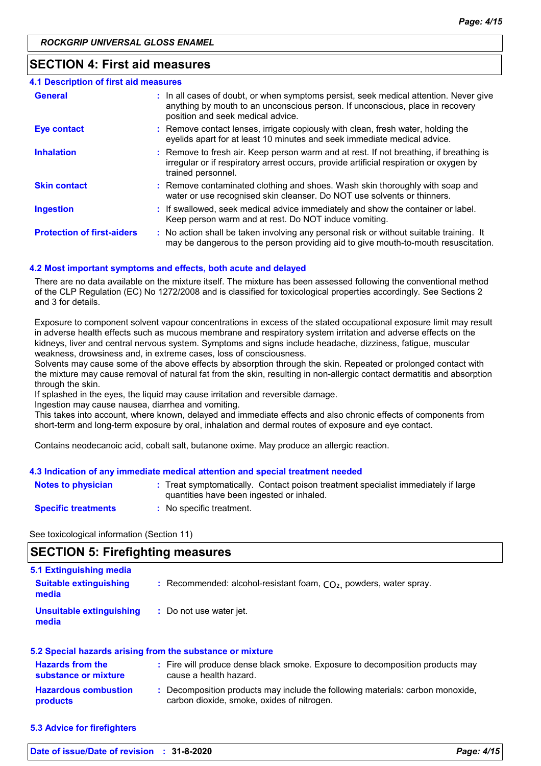### **SECTION 4: First aid measures**

| 4.1 Description of first aid measures |                                                                                                                                                                                                             |
|---------------------------------------|-------------------------------------------------------------------------------------------------------------------------------------------------------------------------------------------------------------|
| <b>General</b>                        | : In all cases of doubt, or when symptoms persist, seek medical attention. Never give<br>anything by mouth to an unconscious person. If unconscious, place in recovery<br>position and seek medical advice. |
| <b>Eye contact</b>                    | : Remove contact lenses, irrigate copiously with clean, fresh water, holding the<br>eyelids apart for at least 10 minutes and seek immediate medical advice.                                                |
| <b>Inhalation</b>                     | : Remove to fresh air. Keep person warm and at rest. If not breathing, if breathing is<br>irregular or if respiratory arrest occurs, provide artificial respiration or oxygen by<br>trained personnel.      |
| <b>Skin contact</b>                   | : Remove contaminated clothing and shoes. Wash skin thoroughly with soap and<br>water or use recognised skin cleanser. Do NOT use solvents or thinners.                                                     |
| <b>Ingestion</b>                      | : If swallowed, seek medical advice immediately and show the container or label.<br>Keep person warm and at rest. Do NOT induce vomiting.                                                                   |
| <b>Protection of first-aiders</b>     | : No action shall be taken involving any personal risk or without suitable training. It<br>may be dangerous to the person providing aid to give mouth-to-mouth resuscitation.                               |

#### **4.2 Most important symptoms and effects, both acute and delayed**

There are no data available on the mixture itself. The mixture has been assessed following the conventional method of the CLP Regulation (EC) No 1272/2008 and is classified for toxicological properties accordingly. See Sections 2 and 3 for details.

Exposure to component solvent vapour concentrations in excess of the stated occupational exposure limit may result in adverse health effects such as mucous membrane and respiratory system irritation and adverse effects on the kidneys, liver and central nervous system. Symptoms and signs include headache, dizziness, fatigue, muscular weakness, drowsiness and, in extreme cases, loss of consciousness.

Solvents may cause some of the above effects by absorption through the skin. Repeated or prolonged contact with the mixture may cause removal of natural fat from the skin, resulting in non-allergic contact dermatitis and absorption through the skin.

If splashed in the eyes, the liquid may cause irritation and reversible damage.

Ingestion may cause nausea, diarrhea and vomiting.

This takes into account, where known, delayed and immediate effects and also chronic effects of components from short-term and long-term exposure by oral, inhalation and dermal routes of exposure and eye contact.

Contains neodecanoic acid, cobalt salt, butanone oxime. May produce an allergic reaction.

#### **4.3 Indication of any immediate medical attention and special treatment needed**

| <b>Notes to physician</b>  | : Treat symptomatically. Contact poison treatment specialist immediately if large<br>quantities have been ingested or inhaled. |
|----------------------------|--------------------------------------------------------------------------------------------------------------------------------|
| <b>Specific treatments</b> | No specific treatment.                                                                                                         |

See toxicological information (Section 11)

# **SECTION 5: Firefighting measures**

| 5.1 Extinguishing media<br><b>Suitable extinguishing</b><br>media | : Recommended: alcohol-resistant foam, $CO2$ , powders, water spray. |
|-------------------------------------------------------------------|----------------------------------------------------------------------|
| Unsuitable extinguishing<br>media                                 | : Do not use water jet.                                              |

| 5.2 Special hazards arising from the substance or mixture |  |                                                                                                                              |
|-----------------------------------------------------------|--|------------------------------------------------------------------------------------------------------------------------------|
| <b>Hazards from the</b><br>substance or mixture           |  | : Fire will produce dense black smoke. Exposure to decomposition products may<br>cause a health hazard.                      |
| <b>Hazardous combustion</b><br>products                   |  | : Decomposition products may include the following materials: carbon monoxide,<br>carbon dioxide, smoke, oxides of nitrogen. |

**5.3 Advice for firefighters**

**Date of issue/Date of revision : 31-8-2020** *Page: 4/15*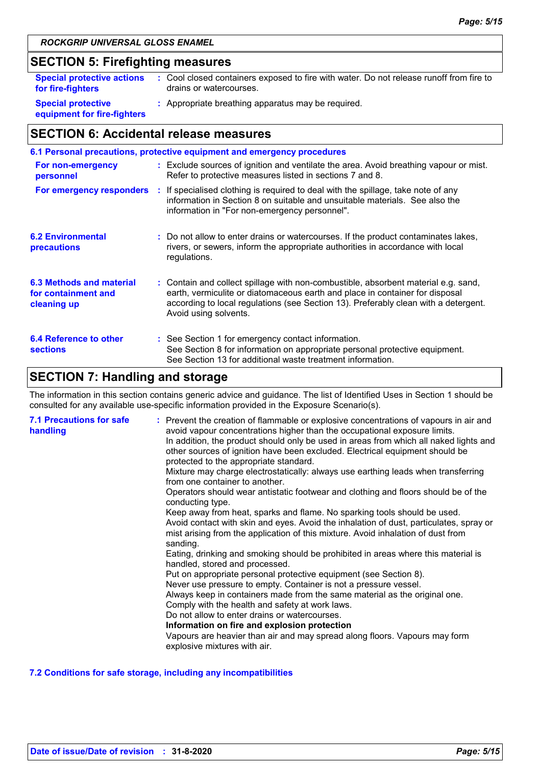# **SECTION 5: Firefighting measures**

| <b>Special protective actions</b>                        | : Cool closed containers exposed to fire with water. Do not release runoff from fire to |
|----------------------------------------------------------|-----------------------------------------------------------------------------------------|
| for fire-fighters                                        | drains or watercourses.                                                                 |
| <b>Special protective</b><br>equipment for fire-fighters | : Appropriate breathing apparatus may be required.                                      |

# **SECTION 6: Accidental release measures**

| 6.1 Personal precautions, protective equipment and emergency procedures |                                                                                                                                                   |                                                                                                                                                                                                                                                                                    |  |  |  |
|-------------------------------------------------------------------------|---------------------------------------------------------------------------------------------------------------------------------------------------|------------------------------------------------------------------------------------------------------------------------------------------------------------------------------------------------------------------------------------------------------------------------------------|--|--|--|
| For non-emergency<br>personnel                                          | : Exclude sources of ignition and ventilate the area. Avoid breathing vapour or mist.<br>Refer to protective measures listed in sections 7 and 8. |                                                                                                                                                                                                                                                                                    |  |  |  |
|                                                                         |                                                                                                                                                   | For emergency responders : If specialised clothing is required to deal with the spillage, take note of any<br>information in Section 8 on suitable and unsuitable materials. See also the<br>information in "For non-emergency personnel".                                         |  |  |  |
| <b>6.2 Environmental</b><br>precautions                                 |                                                                                                                                                   | : Do not allow to enter drains or watercourses. If the product contaminates lakes,<br>rivers, or sewers, inform the appropriate authorities in accordance with local<br>regulations.                                                                                               |  |  |  |
| 6.3 Methods and material<br>for containment and<br>cleaning up          |                                                                                                                                                   | : Contain and collect spillage with non-combustible, absorbent material e.g. sand,<br>earth, vermiculite or diatomaceous earth and place in container for disposal<br>according to local regulations (see Section 13). Preferably clean with a detergent.<br>Avoid using solvents. |  |  |  |
| 6.4 Reference to other<br><b>sections</b>                               |                                                                                                                                                   | : See Section 1 for emergency contact information.<br>See Section 8 for information on appropriate personal protective equipment.<br>See Section 13 for additional waste treatment information.                                                                                    |  |  |  |

# **SECTION 7: Handling and storage**

The information in this section contains generic advice and guidance. The list of Identified Uses in Section 1 should be consulted for any available use-specific information provided in the Exposure Scenario(s).

| <b>7.1 Precautions for safe</b><br>handling | : Prevent the creation of flammable or explosive concentrations of vapours in air and<br>avoid vapour concentrations higher than the occupational exposure limits.<br>In addition, the product should only be used in areas from which all naked lights and<br>other sources of ignition have been excluded. Electrical equipment should be<br>protected to the appropriate standard.<br>Mixture may charge electrostatically: always use earthing leads when transferring<br>from one container to another.<br>Operators should wear antistatic footwear and clothing and floors should be of the<br>conducting type.<br>Keep away from heat, sparks and flame. No sparking tools should be used.<br>Avoid contact with skin and eyes. Avoid the inhalation of dust, particulates, spray or<br>mist arising from the application of this mixture. Avoid inhalation of dust from<br>sanding.<br>Eating, drinking and smoking should be prohibited in areas where this material is<br>handled, stored and processed.<br>Put on appropriate personal protective equipment (see Section 8).<br>Never use pressure to empty. Container is not a pressure vessel.<br>Always keep in containers made from the same material as the original one.<br>Comply with the health and safety at work laws.<br>Do not allow to enter drains or watercourses.<br>Information on fire and explosion protection<br>Vapours are heavier than air and may spread along floors. Vapours may form<br>explosive mixtures with air. |
|---------------------------------------------|--------------------------------------------------------------------------------------------------------------------------------------------------------------------------------------------------------------------------------------------------------------------------------------------------------------------------------------------------------------------------------------------------------------------------------------------------------------------------------------------------------------------------------------------------------------------------------------------------------------------------------------------------------------------------------------------------------------------------------------------------------------------------------------------------------------------------------------------------------------------------------------------------------------------------------------------------------------------------------------------------------------------------------------------------------------------------------------------------------------------------------------------------------------------------------------------------------------------------------------------------------------------------------------------------------------------------------------------------------------------------------------------------------------------------------------------------------------------------------------------------------------|
|---------------------------------------------|--------------------------------------------------------------------------------------------------------------------------------------------------------------------------------------------------------------------------------------------------------------------------------------------------------------------------------------------------------------------------------------------------------------------------------------------------------------------------------------------------------------------------------------------------------------------------------------------------------------------------------------------------------------------------------------------------------------------------------------------------------------------------------------------------------------------------------------------------------------------------------------------------------------------------------------------------------------------------------------------------------------------------------------------------------------------------------------------------------------------------------------------------------------------------------------------------------------------------------------------------------------------------------------------------------------------------------------------------------------------------------------------------------------------------------------------------------------------------------------------------------------|

#### **7.2 Conditions for safe storage, including any incompatibilities**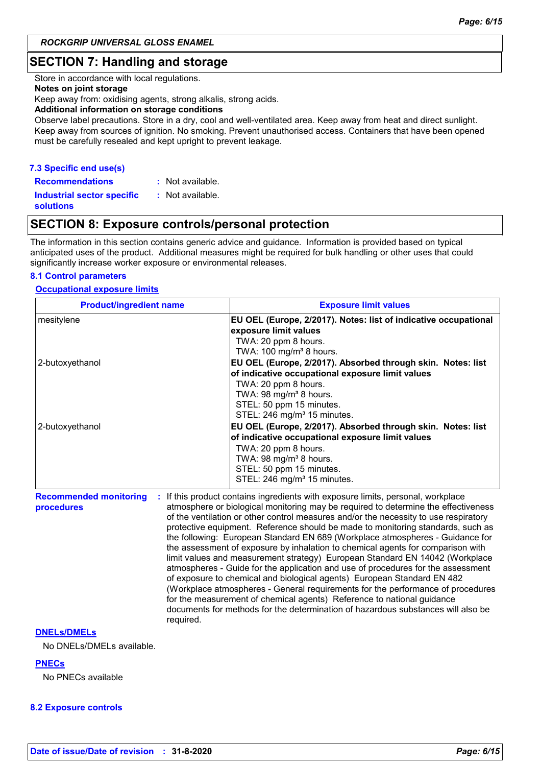# **SECTION 7: Handling and storage**

Store in accordance with local regulations.

#### **Notes on joint storage**

Keep away from: oxidising agents, strong alkalis, strong acids.

#### **Additional information on storage conditions**

Observe label precautions. Store in a dry, cool and well-ventilated area. Keep away from heat and direct sunlight. Keep away from sources of ignition. No smoking. Prevent unauthorised access. Containers that have been opened must be carefully resealed and kept upright to prevent leakage.

#### **7.3 Specific end use(s)**

**Recommendations : Industrial sector specific : solutions** : Not available. : Not available.

# **SECTION 8: Exposure controls/personal protection**

The information in this section contains generic advice and guidance. Information is provided based on typical anticipated uses of the product. Additional measures might be required for bulk handling or other uses that could significantly increase worker exposure or environmental releases.

#### **8.1 Control parameters**

#### **Occupational exposure limits**

| <b>Product/ingredient name</b>                           | <b>Exposure limit values</b>                                                                                                                                                                                                                                                                                                                                                                                                                                                                                                                                                                                                                                                                                                                                                                                                                                                                                                                                                                                        |  |  |  |
|----------------------------------------------------------|---------------------------------------------------------------------------------------------------------------------------------------------------------------------------------------------------------------------------------------------------------------------------------------------------------------------------------------------------------------------------------------------------------------------------------------------------------------------------------------------------------------------------------------------------------------------------------------------------------------------------------------------------------------------------------------------------------------------------------------------------------------------------------------------------------------------------------------------------------------------------------------------------------------------------------------------------------------------------------------------------------------------|--|--|--|
| mesitylene                                               | EU OEL (Europe, 2/2017). Notes: list of indicative occupational<br>exposure limit values<br>TWA: 20 ppm 8 hours.<br>TWA: 100 mg/m <sup>3</sup> 8 hours.                                                                                                                                                                                                                                                                                                                                                                                                                                                                                                                                                                                                                                                                                                                                                                                                                                                             |  |  |  |
| 2-butoxyethanol                                          | EU OEL (Europe, 2/2017). Absorbed through skin. Notes: list<br>of indicative occupational exposure limit values<br>TWA: 20 ppm 8 hours.<br>TWA: 98 mg/m <sup>3</sup> 8 hours.<br>STEL: 50 ppm 15 minutes.<br>STEL: 246 mg/m <sup>3</sup> 15 minutes.                                                                                                                                                                                                                                                                                                                                                                                                                                                                                                                                                                                                                                                                                                                                                                |  |  |  |
| 2-butoxyethanol                                          | EU OEL (Europe, 2/2017). Absorbed through skin. Notes: list<br>of indicative occupational exposure limit values<br>TWA: 20 ppm 8 hours.<br>TWA: 98 mg/m <sup>3</sup> 8 hours.<br>STEL: 50 ppm 15 minutes.<br>STEL: 246 mg/m <sup>3</sup> 15 minutes.                                                                                                                                                                                                                                                                                                                                                                                                                                                                                                                                                                                                                                                                                                                                                                |  |  |  |
| <b>Recommended monitoring</b><br>procedures<br>required. | If this product contains ingredients with exposure limits, personal, workplace<br>atmosphere or biological monitoring may be required to determine the effectiveness<br>of the ventilation or other control measures and/or the necessity to use respiratory<br>protective equipment. Reference should be made to monitoring standards, such as<br>the following: European Standard EN 689 (Workplace atmospheres - Guidance for<br>the assessment of exposure by inhalation to chemical agents for comparison with<br>limit values and measurement strategy) European Standard EN 14042 (Workplace<br>atmospheres - Guide for the application and use of procedures for the assessment<br>of exposure to chemical and biological agents) European Standard EN 482<br>(Workplace atmospheres - General requirements for the performance of procedures<br>for the measurement of chemical agents) Reference to national guidance<br>documents for methods for the determination of hazardous substances will also be |  |  |  |

#### **DNELs/DMELs**

No DNELs/DMELs available.

#### **PNECs**

No PNECs available

#### **8.2 Exposure controls**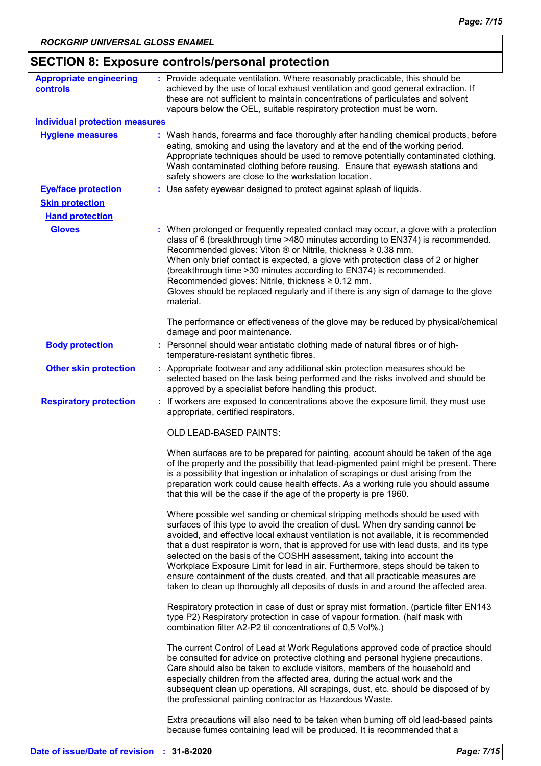| <b>Appropriate engineering</b>        | : Provide adequate ventilation. Where reasonably practicable, this should be                                                                                                                                                                                                                                                                                                                                                                                                                                                                                                                                                                                                            |
|---------------------------------------|-----------------------------------------------------------------------------------------------------------------------------------------------------------------------------------------------------------------------------------------------------------------------------------------------------------------------------------------------------------------------------------------------------------------------------------------------------------------------------------------------------------------------------------------------------------------------------------------------------------------------------------------------------------------------------------------|
| <b>controls</b>                       | achieved by the use of local exhaust ventilation and good general extraction. If<br>these are not sufficient to maintain concentrations of particulates and solvent<br>vapours below the OEL, suitable respiratory protection must be worn.                                                                                                                                                                                                                                                                                                                                                                                                                                             |
| <b>Individual protection measures</b> |                                                                                                                                                                                                                                                                                                                                                                                                                                                                                                                                                                                                                                                                                         |
| <b>Hygiene measures</b>               | : Wash hands, forearms and face thoroughly after handling chemical products, before<br>eating, smoking and using the lavatory and at the end of the working period.<br>Appropriate techniques should be used to remove potentially contaminated clothing.<br>Wash contaminated clothing before reusing. Ensure that eyewash stations and<br>safety showers are close to the workstation location.                                                                                                                                                                                                                                                                                       |
| <b>Eye/face protection</b>            | : Use safety eyewear designed to protect against splash of liquids.                                                                                                                                                                                                                                                                                                                                                                                                                                                                                                                                                                                                                     |
| <b>Skin protection</b>                |                                                                                                                                                                                                                                                                                                                                                                                                                                                                                                                                                                                                                                                                                         |
| <b>Hand protection</b>                |                                                                                                                                                                                                                                                                                                                                                                                                                                                                                                                                                                                                                                                                                         |
| <b>Gloves</b>                         | : When prolonged or frequently repeated contact may occur, a glove with a protection<br>class of 6 (breakthrough time >480 minutes according to EN374) is recommended.<br>Recommended gloves: Viton ® or Nitrile, thickness ≥ 0.38 mm.<br>When only brief contact is expected, a glove with protection class of 2 or higher<br>(breakthrough time > 30 minutes according to EN374) is recommended.                                                                                                                                                                                                                                                                                      |
|                                       | Recommended gloves: Nitrile, thickness $\geq 0.12$ mm.<br>Gloves should be replaced regularly and if there is any sign of damage to the glove<br>material.                                                                                                                                                                                                                                                                                                                                                                                                                                                                                                                              |
|                                       | The performance or effectiveness of the glove may be reduced by physical/chemical<br>damage and poor maintenance.                                                                                                                                                                                                                                                                                                                                                                                                                                                                                                                                                                       |
| <b>Body protection</b>                | : Personnel should wear antistatic clothing made of natural fibres or of high-<br>temperature-resistant synthetic fibres.                                                                                                                                                                                                                                                                                                                                                                                                                                                                                                                                                               |
| <b>Other skin protection</b>          | : Appropriate footwear and any additional skin protection measures should be<br>selected based on the task being performed and the risks involved and should be<br>approved by a specialist before handling this product.                                                                                                                                                                                                                                                                                                                                                                                                                                                               |
| <b>Respiratory protection</b>         | : If workers are exposed to concentrations above the exposure limit, they must use<br>appropriate, certified respirators.                                                                                                                                                                                                                                                                                                                                                                                                                                                                                                                                                               |
|                                       | OLD LEAD-BASED PAINTS:                                                                                                                                                                                                                                                                                                                                                                                                                                                                                                                                                                                                                                                                  |
|                                       | When surfaces are to be prepared for painting, account should be taken of the age<br>of the property and the possibility that lead-pigmented paint might be present. There<br>is a possibility that ingestion or inhalation of scrapings or dust arising from the<br>preparation work could cause health effects. As a working rule you should assume<br>that this will be the case if the age of the property is pre 1960.                                                                                                                                                                                                                                                             |
|                                       | Where possible wet sanding or chemical stripping methods should be used with<br>surfaces of this type to avoid the creation of dust. When dry sanding cannot be<br>avoided, and effective local exhaust ventilation is not available, it is recommended<br>that a dust respirator is worn, that is approved for use with lead dusts, and its type<br>selected on the basis of the COSHH assessment, taking into account the<br>Workplace Exposure Limit for lead in air. Furthermore, steps should be taken to<br>ensure containment of the dusts created, and that all practicable measures are<br>taken to clean up thoroughly all deposits of dusts in and around the affected area. |
|                                       | Respiratory protection in case of dust or spray mist formation. (particle filter EN143<br>type P2) Respiratory protection in case of vapour formation. (half mask with<br>combination filter A2-P2 til concentrations of 0,5 Vol%.)                                                                                                                                                                                                                                                                                                                                                                                                                                                     |
|                                       | The current Control of Lead at Work Regulations approved code of practice should<br>be consulted for advice on protective clothing and personal hygiene precautions.<br>Care should also be taken to exclude visitors, members of the household and<br>especially children from the affected area, during the actual work and the<br>subsequent clean up operations. All scrapings, dust, etc. should be disposed of by<br>the professional painting contractor as Hazardous Waste.                                                                                                                                                                                                     |
|                                       | Extra precautions will also need to be taken when burning off old lead-based paints<br>because fumes containing lead will be produced. It is recommended that a                                                                                                                                                                                                                                                                                                                                                                                                                                                                                                                         |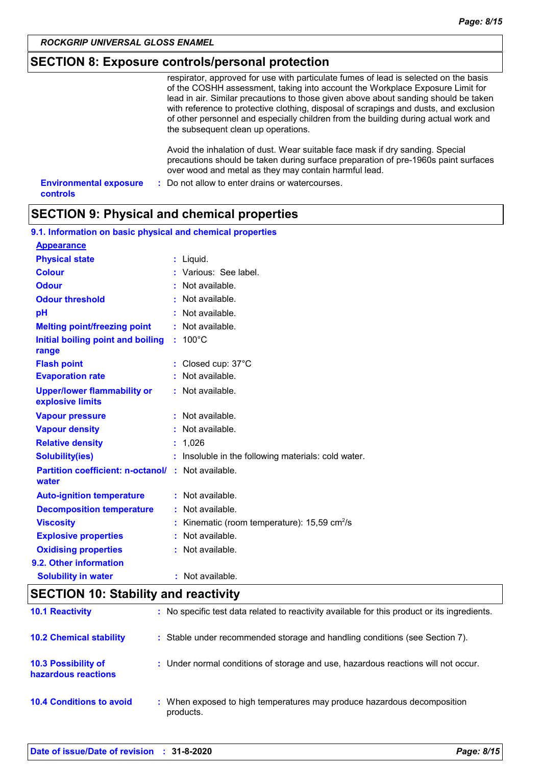#### *ROCKGRIP UNIVERSAL GLOSS ENAMEL*

### **SECTION 8: Exposure controls/personal protection**

| respirator, approved for use with particulate fumes of lead is selected on the basis  |
|---------------------------------------------------------------------------------------|
| of the COSHH assessment, taking into account the Workplace Exposure Limit for         |
| lead in air. Similar precautions to those given above about sanding should be taken   |
| with reference to protective clothing, disposal of scrapings and dusts, and exclusion |
| of other personnel and especially children from the building during actual work and   |
| the subsequent clean up operations.                                                   |
|                                                                                       |
| Avoid the inhalation of dust. Wear suitable face mask if dry sanding. Special         |

precautions should be taken during surface preparation of pre-1960s paint surfaces over wood and metal as they may contain harmful lead.

| <b>Environmental exposure</b> | : Do not allow to enter drains or watercourses. |
|-------------------------------|-------------------------------------------------|
| controls                      |                                                 |

# **SECTION 9: Physical and chemical properties**

| 9.1. Information on basic physical and chemical properties |  |                                                        |  |  |  |
|------------------------------------------------------------|--|--------------------------------------------------------|--|--|--|
| <b>Appearance</b>                                          |  |                                                        |  |  |  |
| <b>Physical state</b>                                      |  | $:$ Liquid.                                            |  |  |  |
| <b>Colour</b>                                              |  | : Various: See label.                                  |  |  |  |
| <b>Odour</b>                                               |  | $:$ Not available.                                     |  |  |  |
| <b>Odour threshold</b>                                     |  | $\cdot$ Not available.                                 |  |  |  |
| pH                                                         |  | : Not available.                                       |  |  |  |
| <b>Melting point/freezing point</b>                        |  | : Not available.                                       |  |  |  |
| Initial boiling point and boiling<br>range                 |  | $: 100^{\circ}$ C                                      |  |  |  |
| <b>Flash point</b>                                         |  | : Closed cup: $37^{\circ}$ C                           |  |  |  |
| <b>Evaporation rate</b>                                    |  | Not available.                                         |  |  |  |
| <b>Upper/lower flammability or</b><br>explosive limits     |  | : Not available.                                       |  |  |  |
| <b>Vapour pressure</b>                                     |  | $:$ Not available.                                     |  |  |  |
| <b>Vapour density</b>                                      |  | : Not available.                                       |  |  |  |
| <b>Relative density</b>                                    |  | : 1,026                                                |  |  |  |
| <b>Solubility(ies)</b>                                     |  | : Insoluble in the following materials: cold water.    |  |  |  |
| <b>Partition coefficient: n-octanol/</b><br>water          |  | : Not available.                                       |  |  |  |
| <b>Auto-ignition temperature</b>                           |  | : Not available.                                       |  |  |  |
| <b>Decomposition temperature</b>                           |  | Not available.                                         |  |  |  |
| <b>Viscosity</b>                                           |  | Kinematic (room temperature): 15,59 cm <sup>2</sup> /s |  |  |  |
| <b>Explosive properties</b>                                |  | Not available.                                         |  |  |  |
| <b>Oxidising properties</b>                                |  | $:$ Not available.                                     |  |  |  |
| 9.2. Other information                                     |  |                                                        |  |  |  |
| <b>Solubility in water</b>                                 |  | : Not available.                                       |  |  |  |

# **SECTION 10: Stability and reactivity**

| <b>10.1 Reactivity</b>                            | : No specific test data related to reactivity available for this product or its ingredients. |
|---------------------------------------------------|----------------------------------------------------------------------------------------------|
| <b>10.2 Chemical stability</b>                    | : Stable under recommended storage and handling conditions (see Section 7).                  |
| <b>10.3 Possibility of</b><br>hazardous reactions | : Under normal conditions of storage and use, hazardous reactions will not occur.            |
| <b>10.4 Conditions to avoid</b>                   | : When exposed to high temperatures may produce hazardous decomposition<br>products.         |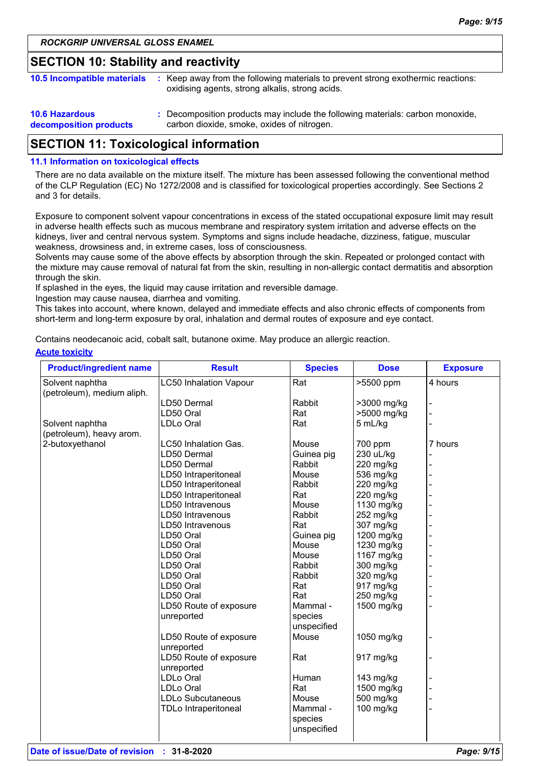### **SECTION 10: Stability and reactivity**

| 10.5 Incompatible materials                     | : Keep away from the following materials to prevent strong exothermic reactions:<br>oxidising agents, strong alkalis, strong acids. |
|-------------------------------------------------|-------------------------------------------------------------------------------------------------------------------------------------|
| <b>10.6 Hazardous</b><br>decomposition products | : Decomposition products may include the following materials: carbon monoxide,<br>carbon dioxide, smoke, oxides of nitrogen.        |

# **SECTION 11: Toxicological information**

#### **11.1 Information on toxicological effects**

There are no data available on the mixture itself. The mixture has been assessed following the conventional method of the CLP Regulation (EC) No 1272/2008 and is classified for toxicological properties accordingly. See Sections 2 and 3 for details.

Exposure to component solvent vapour concentrations in excess of the stated occupational exposure limit may result in adverse health effects such as mucous membrane and respiratory system irritation and adverse effects on the kidneys, liver and central nervous system. Symptoms and signs include headache, dizziness, fatigue, muscular weakness, drowsiness and, in extreme cases, loss of consciousness.

Solvents may cause some of the above effects by absorption through the skin. Repeated or prolonged contact with the mixture may cause removal of natural fat from the skin, resulting in non-allergic contact dermatitis and absorption through the skin.

If splashed in the eyes, the liquid may cause irritation and reversible damage.

Ingestion may cause nausea, diarrhea and vomiting.

This takes into account, where known, delayed and immediate effects and also chronic effects of components from short-term and long-term exposure by oral, inhalation and dermal routes of exposure and eye contact.

Contains neodecanoic acid, cobalt salt, butanone oxime. May produce an allergic reaction.

#### **Acute toxicity**

| <b>Product/ingredient name</b> | <b>Result</b>                 | <b>Species</b> | <b>Dose</b> | <b>Exposure</b> |
|--------------------------------|-------------------------------|----------------|-------------|-----------------|
| Solvent naphtha                | <b>LC50 Inhalation Vapour</b> | Rat            | >5500 ppm   | 4 hours         |
| (petroleum), medium aliph.     |                               |                |             |                 |
|                                | LD50 Dermal                   | Rabbit         | >3000 mg/kg |                 |
|                                | LD50 Oral                     | Rat            | >5000 mg/kg |                 |
| Solvent naphtha                | LDLo Oral                     | Rat            | 5 mL/kg     |                 |
| (petroleum), heavy arom.       |                               |                |             |                 |
| 2-butoxyethanol                | LC50 Inhalation Gas.          | Mouse          | 700 ppm     | 7 hours         |
|                                | LD50 Dermal                   | Guinea pig     | 230 uL/kg   |                 |
|                                | LD50 Dermal                   | Rabbit         | 220 mg/kg   |                 |
|                                | LD50 Intraperitoneal          | Mouse          | 536 mg/kg   |                 |
|                                | LD50 Intraperitoneal          | Rabbit         | 220 mg/kg   |                 |
|                                | LD50 Intraperitoneal          | Rat            | 220 mg/kg   |                 |
|                                | LD50 Intravenous              | Mouse          | 1130 mg/kg  |                 |
|                                | LD50 Intravenous              | Rabbit         | 252 mg/kg   |                 |
|                                | LD50 Intravenous              | Rat            | 307 mg/kg   |                 |
|                                | LD50 Oral                     | Guinea pig     | 1200 mg/kg  |                 |
|                                | LD50 Oral                     | Mouse          | 1230 mg/kg  |                 |
|                                | LD50 Oral                     | Mouse          | 1167 mg/kg  |                 |
|                                | LD50 Oral                     | Rabbit         | 300 mg/kg   |                 |
|                                | LD50 Oral                     | Rabbit         | 320 mg/kg   |                 |
|                                | LD50 Oral                     | Rat            | 917 mg/kg   |                 |
|                                | LD50 Oral                     | Rat            | 250 mg/kg   |                 |
|                                | LD50 Route of exposure        | Mammal -       | 1500 mg/kg  |                 |
|                                | unreported                    | species        |             |                 |
|                                |                               | unspecified    |             |                 |
|                                | LD50 Route of exposure        | Mouse          | 1050 mg/kg  |                 |
|                                | unreported                    |                |             |                 |
|                                | LD50 Route of exposure        | Rat            | 917 mg/kg   |                 |
|                                | unreported                    |                |             |                 |
|                                | <b>LDLo Oral</b>              | Human          | 143 mg/kg   |                 |
|                                | <b>LDLo Oral</b>              | Rat            | 1500 mg/kg  |                 |
|                                | <b>LDLo Subcutaneous</b>      | Mouse          | 500 mg/kg   |                 |
|                                | <b>TDLo Intraperitoneal</b>   | Mammal -       | 100 mg/kg   |                 |
|                                |                               | species        |             |                 |
|                                |                               | unspecified    |             |                 |
|                                |                               |                |             |                 |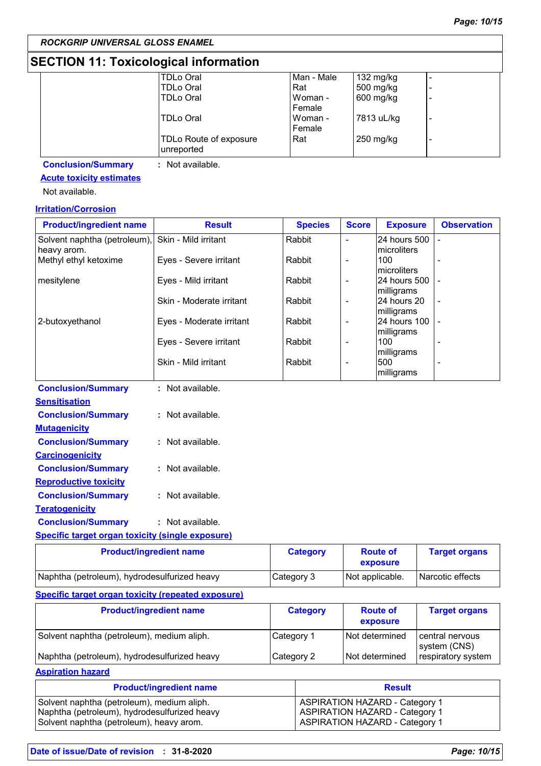# **SECTION 11: Toxicological information**

| <b>TDLo Oral</b>                     | Man - Male | 132 mg/kg  |   |
|--------------------------------------|------------|------------|---|
| <b>TDLo Oral</b>                     | Rat        | 500 mg/kg  |   |
| <b>TDLo Oral</b>                     | Woman -    | 600 mg/kg  | ۰ |
|                                      | Female     |            |   |
| TDLo Oral                            | Woman -    | 7813 uL/kg | ٠ |
|                                      | Female     |            |   |
| TDLo Route of exposure<br>unreported | Rat        | 250 mg/kg  | ٠ |
|                                      |            |            |   |

**Conclusion/Summary :** Not available.

### **Acute toxicity estimates**

Not available.

### **Irritation/Corrosion**

| <b>Product/ingredient name</b>                          | <b>Result</b>            | <b>Species</b>  | <b>Score</b>             | <b>Exposure</b>             | <b>Observation</b>   |
|---------------------------------------------------------|--------------------------|-----------------|--------------------------|-----------------------------|----------------------|
| Solvent naphtha (petroleum),<br>heavy arom.             | Skin - Mild irritant     | Rabbit          | $\overline{\phantom{0}}$ | 24 hours 500<br>microliters |                      |
| Methyl ethyl ketoxime                                   | Eyes - Severe irritant   | Rabbit          | $\overline{\phantom{0}}$ | 100<br>microliters          |                      |
| mesitylene                                              | Eyes - Mild irritant     | Rabbit          | -                        | 24 hours 500<br>milligrams  |                      |
|                                                         | Skin - Moderate irritant | Rabbit          | -                        | 24 hours 20<br>milligrams   |                      |
| 2-butoxyethanol                                         | Eyes - Moderate irritant | Rabbit          | $\overline{\phantom{0}}$ | 24 hours 100<br>milligrams  |                      |
|                                                         | Eyes - Severe irritant   | Rabbit          | $\overline{\phantom{0}}$ | 100<br>milligrams           |                      |
|                                                         | Skin - Mild irritant     | Rabbit          | $\overline{a}$           | 500<br>milligrams           |                      |
| <b>Conclusion/Summary</b>                               | : Not available.         |                 |                          |                             |                      |
| <b>Sensitisation</b>                                    |                          |                 |                          |                             |                      |
| <b>Conclusion/Summary</b>                               | : Not available.         |                 |                          |                             |                      |
| <b>Mutagenicity</b>                                     |                          |                 |                          |                             |                      |
| <b>Conclusion/Summary</b>                               | : Not available.         |                 |                          |                             |                      |
| <b>Carcinogenicity</b>                                  |                          |                 |                          |                             |                      |
| <b>Conclusion/Summary</b>                               | : Not available.         |                 |                          |                             |                      |
| <b>Reproductive toxicity</b>                            |                          |                 |                          |                             |                      |
| <b>Conclusion/Summary</b>                               | : Not available.         |                 |                          |                             |                      |
| <b>Teratogenicity</b>                                   |                          |                 |                          |                             |                      |
| <b>Conclusion/Summary</b>                               | : Not available.         |                 |                          |                             |                      |
| <b>Specific target organ toxicity (single exposure)</b> |                          |                 |                          |                             |                      |
| <b>Product/ingredient name</b>                          |                          | <b>Category</b> |                          | <b>Route of</b>             | <b>Target organs</b> |

| <b>Product/Indredient name</b>               | <b>Category</b> | <b>ROUTE OT</b><br>exposure | <b>Larget organs</b> |
|----------------------------------------------|-----------------|-----------------------------|----------------------|
| Naphtha (petroleum), hydrodesulfurized heavy | Category 3      | Not applicable.             | l Narcotic effects   |
|                                              |                 |                             |                      |

#### **Specific target organ toxicity (repeated exposure)**

| <b>Product/ingredient name</b>               | <b>Category</b> | <b>Route of</b><br>exposure | <b>Target organs</b>            |
|----------------------------------------------|-----------------|-----------------------------|---------------------------------|
| Solvent naphtha (petroleum), medium aliph.   | Category 1      | Not determined              | central nervous<br>system (CNS) |
| Naphtha (petroleum), hydrodesulfurized heavy | Category 2      | Not determined              | respiratory system              |

**Aspiration hazard**

| <b>Product/ingredient name</b>               | <b>Result</b>                         |
|----------------------------------------------|---------------------------------------|
| Solvent naphtha (petroleum), medium aliph.   | <b>ASPIRATION HAZARD - Category 1</b> |
| Naphtha (petroleum), hydrodesulfurized heavy | <b>ASPIRATION HAZARD - Category 1</b> |
| Solvent naphtha (petroleum), heavy arom.     | <b>ASPIRATION HAZARD - Category 1</b> |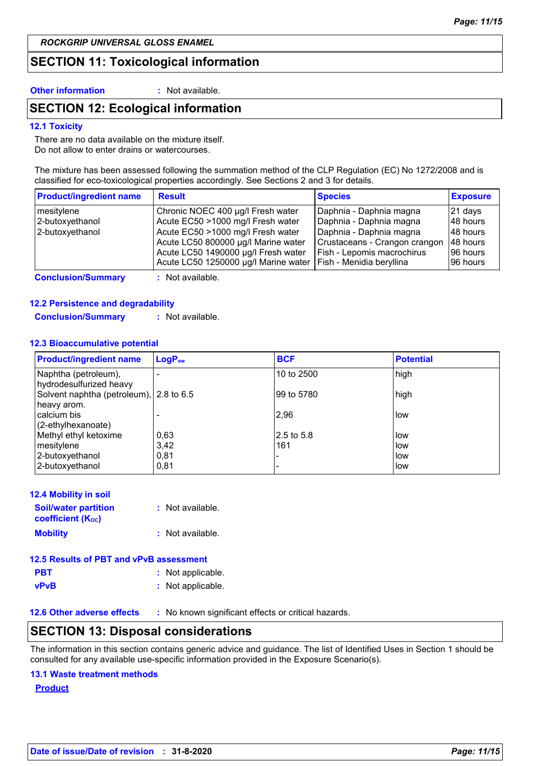*ROCKGRIP UNIVERSAL GLOSS ENAMEL*

# **SECTION 11: Toxicological information**

**Other information :** Not available.

# **SECTION 12: Ecological information**

#### **12.1 Toxicity**

There are no data available on the mixture itself. Do not allow to enter drains or watercourses.

The mixture has been assessed following the summation method of the CLP Regulation (EC) No 1272/2008 and is classified for eco-toxicological properties accordingly. See Sections 2 and 3 for details.

| <b>Product/ingredient name</b> | <b>Result</b>                        | <b>Species</b>                | <b>Exposure</b> |
|--------------------------------|--------------------------------------|-------------------------------|-----------------|
| mesitylene                     | Chronic NOEC 400 µg/l Fresh water    | Daphnia - Daphnia magna       | $ 21$ days      |
| 2-butoxyethanol                | Acute EC50 >1000 mg/l Fresh water    | Daphnia - Daphnia magna       | 148 hours       |
| 2-butoxyethanol                | Acute EC50 >1000 mg/l Fresh water    | Daphnia - Daphnia magna       | 148 hours       |
|                                | Acute LC50 800000 µg/l Marine water  | Crustaceans - Crangon crangon | 48 hours        |
|                                | Acute LC50 1490000 µg/l Fresh water  | Fish - Lepomis macrochirus    | 196 hours       |
|                                | Acute LC50 1250000 µg/l Marine water | Fish - Menidia beryllina      | 96 hours        |

**Conclusion/Summary :** Not available.

#### **12.2 Persistence and degradability**

**Conclusion/Summary :** Not available.

#### **12.3 Bioaccumulative potential**

| <b>Product/ingredient name</b>                         | LogP <sub>ow</sub> | <b>BCF</b> | <b>Potential</b> |
|--------------------------------------------------------|--------------------|------------|------------------|
| Naphtha (petroleum),<br>hydrodesulfurized heavy        |                    | 10 to 2500 | high             |
| Solvent naphtha (petroleum), 2.8 to 6.5<br>heavy arom. |                    | 99 to 5780 | high             |
| calcium bis<br>(2-ethylhexanoate)                      |                    | 2,96       | low              |
| Methyl ethyl ketoxime                                  | 0,63               | 2.5 to 5.8 | low              |
| mesitylene                                             | 3.42               | 161        | low              |
| 2-butoxyethanol                                        | 0.81               |            | low              |
| 2-butoxyethanol                                        | 0,81               |            | low              |

| <b>12.4 Mobility in soil</b>                            |                    |
|---------------------------------------------------------|--------------------|
| <b>Soil/water partition</b><br><b>coefficient (Koc)</b> | : Not available.   |
| <b>Mobility</b>                                         | $:$ Not available. |

| 12.5 Results of PBT and vPvB assessment |                   |  |  |
|-----------------------------------------|-------------------|--|--|
| <b>PBT</b>                              | : Not applicable. |  |  |
| vPvB                                    | : Not applicable. |  |  |

**12.6 Other adverse effects** : No known significant effects or critical hazards.

# **SECTION 13: Disposal considerations**

The information in this section contains generic advice and guidance. The list of Identified Uses in Section 1 should be consulted for any available use-specific information provided in the Exposure Scenario(s).

#### **13.1 Waste treatment methods**

**Product**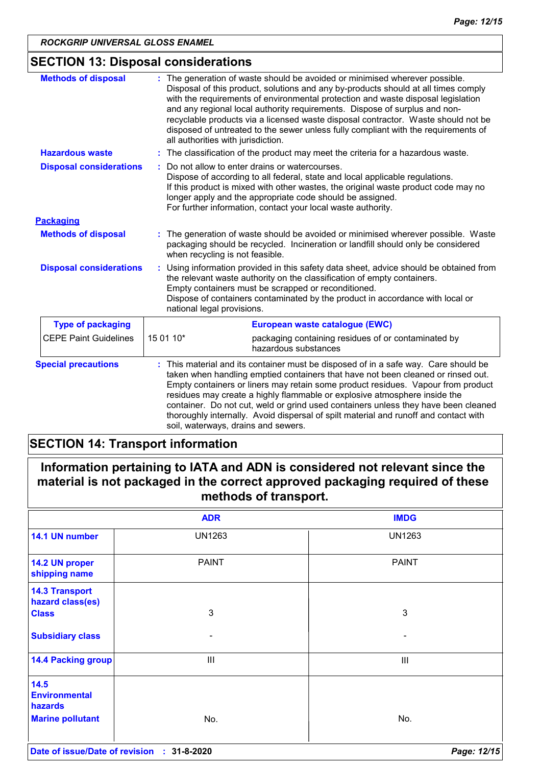# **SECTION 13: Disposal considerations**

| <b>Methods of disposal</b>     |           | : The generation of waste should be avoided or minimised wherever possible.<br>Disposal of this product, solutions and any by-products should at all times comply<br>with the requirements of environmental protection and waste disposal legislation<br>and any regional local authority requirements. Dispose of surplus and non-<br>recyclable products via a licensed waste disposal contractor. Waste should not be<br>disposed of untreated to the sewer unless fully compliant with the requirements of<br>all authorities with jurisdiction.          |  |
|--------------------------------|-----------|---------------------------------------------------------------------------------------------------------------------------------------------------------------------------------------------------------------------------------------------------------------------------------------------------------------------------------------------------------------------------------------------------------------------------------------------------------------------------------------------------------------------------------------------------------------|--|
| <b>Hazardous waste</b>         |           | : The classification of the product may meet the criteria for a hazardous waste.                                                                                                                                                                                                                                                                                                                                                                                                                                                                              |  |
| <b>Disposal considerations</b> |           | Do not allow to enter drains or watercourses.<br>Dispose of according to all federal, state and local applicable regulations.<br>If this product is mixed with other wastes, the original waste product code may no<br>longer apply and the appropriate code should be assigned.<br>For further information, contact your local waste authority.                                                                                                                                                                                                              |  |
| <b>Packaging</b>               |           |                                                                                                                                                                                                                                                                                                                                                                                                                                                                                                                                                               |  |
| <b>Methods of disposal</b>     |           | : The generation of waste should be avoided or minimised wherever possible. Waste<br>packaging should be recycled. Incineration or landfill should only be considered<br>when recycling is not feasible.                                                                                                                                                                                                                                                                                                                                                      |  |
| <b>Disposal considerations</b> |           | Using information provided in this safety data sheet, advice should be obtained from<br>the relevant waste authority on the classification of empty containers.<br>Empty containers must be scrapped or reconditioned.<br>Dispose of containers contaminated by the product in accordance with local or<br>national legal provisions.                                                                                                                                                                                                                         |  |
| <b>Type of packaging</b>       |           | European waste catalogue (EWC)                                                                                                                                                                                                                                                                                                                                                                                                                                                                                                                                |  |
| <b>CEPE Paint Guidelines</b>   | 15 01 10* | packaging containing residues of or contaminated by<br>hazardous substances                                                                                                                                                                                                                                                                                                                                                                                                                                                                                   |  |
| <b>Special precautions</b>     |           | : This material and its container must be disposed of in a safe way. Care should be<br>taken when handling emptied containers that have not been cleaned or rinsed out.<br>Empty containers or liners may retain some product residues. Vapour from product<br>residues may create a highly flammable or explosive atmosphere inside the<br>container. Do not cut, weld or grind used containers unless they have been cleaned<br>thoroughly internally. Avoid dispersal of spilt material and runoff and contact with<br>soil, waterways, drains and sewers. |  |

# **SECTION 14: Transport information**

| Information pertaining to IATA and ADN is considered not relevant since the  |  |
|------------------------------------------------------------------------------|--|
| material is not packaged in the correct approved packaging required of these |  |
| methods of transport.                                                        |  |

|                                            | <b>ADR</b>               | <b>IMDG</b>   |
|--------------------------------------------|--------------------------|---------------|
| 14.1 UN number                             | <b>UN1263</b>            | <b>UN1263</b> |
| 14.2 UN proper<br>shipping name            | <b>PAINT</b>             | <b>PAINT</b>  |
| <b>14.3 Transport</b><br>hazard class(es)  |                          |               |
| <b>Class</b>                               | 3                        | $\mathbf{3}$  |
| <b>Subsidiary class</b>                    | $\overline{\phantom{a}}$ | ٠             |
| <b>14.4 Packing group</b>                  | $\mathbf{III}$           | Ш             |
| 14.5<br><b>Environmental</b><br>hazards    |                          |               |
| <b>Marine pollutant</b>                    | No.                      | No.           |
| Date of issue/Date of revision : 31-8-2020 |                          | Page: 12/15   |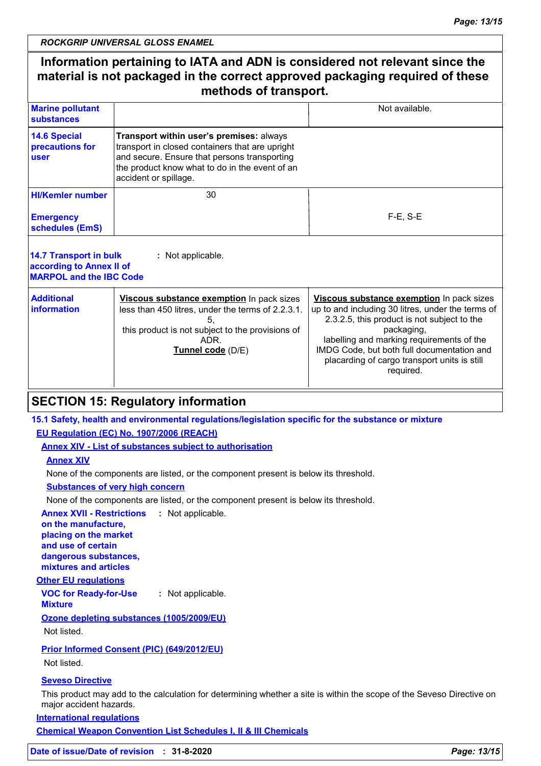# **Information pertaining to IATA and ADN is considered not relevant since the material is not packaged in the correct approved packaging required of these methods of transport.**

| <b>Marine pollutant</b><br><b>substances</b>   |                                                                                                                                                                                                                        | Not available. |
|------------------------------------------------|------------------------------------------------------------------------------------------------------------------------------------------------------------------------------------------------------------------------|----------------|
| <b>14.6 Special</b><br>precautions for<br>user | Transport within user's premises: always<br>transport in closed containers that are upright<br>and secure. Ensure that persons transporting<br>the product know what to do in the event of an<br>accident or spillage. |                |
| <b>HI/Kemler number</b>                        | 30                                                                                                                                                                                                                     |                |
| <b>Emergency</b><br>schedules (EmS)            |                                                                                                                                                                                                                        | $F-E. S-E$     |
|                                                |                                                                                                                                                                                                                        |                |

| 14.7 Transport in bulk<br>according to Annex II of<br><b>MARPOL and the IBC Code</b> | : Not applicable.                                                                                                                                                               |                                                                                                                                                                                                                                                                                                                     |
|--------------------------------------------------------------------------------------|---------------------------------------------------------------------------------------------------------------------------------------------------------------------------------|---------------------------------------------------------------------------------------------------------------------------------------------------------------------------------------------------------------------------------------------------------------------------------------------------------------------|
| <b>Additional</b><br>information                                                     | Viscous substance exemption In pack sizes<br>less than 450 litres, under the terms of 2.2.3.1.<br>this product is not subject to the provisions of<br>ADR.<br>Tunnel code (D/E) | Viscous substance exemption In pack sizes<br>up to and including 30 litres, under the terms of<br>2.3.2.5, this product is not subject to the<br>packaging,<br>labelling and marking requirements of the<br>IMDG Code, but both full documentation and<br>placarding of cargo transport units is still<br>required. |

# **SECTION 15: Regulatory information**

#### **15.1 Safety, health and environmental regulations/legislation specific for the substance or mixture**

#### **EU Regulation (EC) No. 1907/2006 (REACH)**

**Annex XIV - List of substances subject to authorisation**

#### **Annex XIV**

None of the components are listed, or the component present is below its threshold.

#### **Substances of very high concern**

None of the components are listed, or the component present is below its threshold.

**Annex XVII - Restrictions :** Not applicable. **on the manufacture,**

**placing on the market and use of certain dangerous substances, mixtures and articles**

#### **Other EU regulations**

**VOC for Ready-for-Use Mixture :** Not applicable.

#### **Ozone depleting substances (1005/2009/EU)**

Not listed.

#### **Prior Informed Consent (PIC) (649/2012/EU)**

Not listed.

#### **Seveso Directive**

This product may add to the calculation for determining whether a site is within the scope of the Seveso Directive on major accident hazards.

**International regulations**

**Chemical Weapon Convention List Schedules I, II & III Chemicals**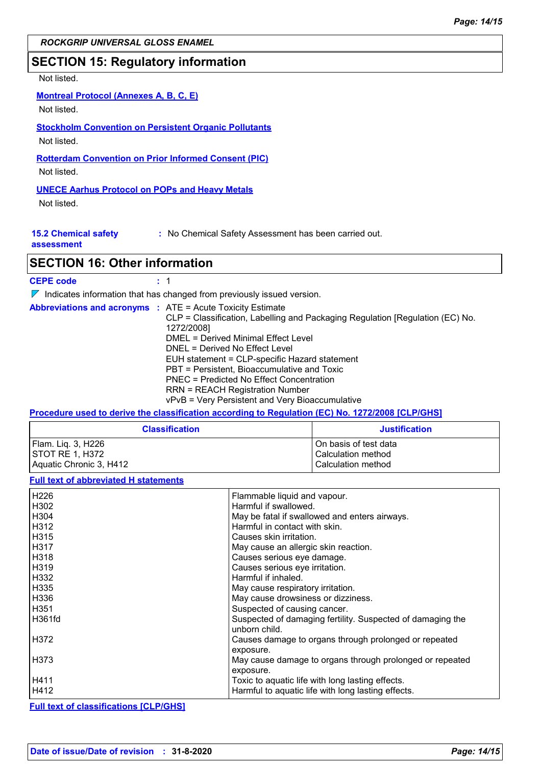#### *ROCKGRIP UNIVERSAL GLOSS ENAMEL*

### **SECTION 15: Regulatory information**

#### Not listed.

#### **Montreal Protocol (Annexes A, B, C, E)**

Not listed.

# **Stockholm Convention on Persistent Organic Pollutants**

Not listed.

# **Rotterdam Convention on Prior Informed Consent (PIC)**

Not listed.

### **UNECE Aarhus Protocol on POPs and Heavy Metals**

Not listed.

| <b>15.2 Chemical safety</b><br>: No Chemical Safety Assessment has been carried out. |  |
|--------------------------------------------------------------------------------------|--|
|--------------------------------------------------------------------------------------|--|

#### **assessment**

# **SECTION 16: Other information**

| <b>CEPE code</b> |  |
|------------------|--|
|------------------|--|

 $\nabla$  Indicates information that has changed from previously issued version.

| <b>Abbreviations and acronyms : ATE = Acute Toxicity Estimate</b> | CLP = Classification, Labelling and Packaging Regulation [Regulation (EC) No.<br>1272/2008]<br>DMEL = Derived Minimal Effect Level<br>DNEL = Derived No Effect Level<br>EUH statement = CLP-specific Hazard statement<br>PBT = Persistent, Bioaccumulative and Toxic |
|-------------------------------------------------------------------|----------------------------------------------------------------------------------------------------------------------------------------------------------------------------------------------------------------------------------------------------------------------|
|                                                                   | PNEC = Predicted No Effect Concentration                                                                                                                                                                                                                             |
|                                                                   | <b>RRN = REACH Registration Number</b>                                                                                                                                                                                                                               |
|                                                                   | vPvB = Very Persistent and Very Bioaccumulative                                                                                                                                                                                                                      |

#### **Procedure used to derive the classification according to Regulation (EC) No. 1272/2008 [CLP/GHS]**

| <b>Classification</b>   | <b>Justification</b>  |
|-------------------------|-----------------------|
| Flam. Lig. 3, H226      | On basis of test data |
| ISTOT RE 1. H372        | Calculation method    |
| Aquatic Chronic 3, H412 | Calculation method    |

#### **Full text of abbreviated H statements**

| H226   | Flammable liquid and vapour.                                                |
|--------|-----------------------------------------------------------------------------|
| H302   | Harmful if swallowed.                                                       |
| H304   | May be fatal if swallowed and enters airways.                               |
| H312   | Harmful in contact with skin.                                               |
| H315   | Causes skin irritation.                                                     |
| H317   | May cause an allergic skin reaction.                                        |
| l H318 | Causes serious eye damage.                                                  |
| H319   | Causes serious eye irritation.                                              |
| H332   | Harmful if inhaled.                                                         |
| H335   | May cause respiratory irritation.                                           |
| H336   | May cause drowsiness or dizziness.                                          |
| H351   | Suspected of causing cancer.                                                |
| H361fd | Suspected of damaging fertility. Suspected of damaging the<br>unborn child. |
| H372   | Causes damage to organs through prolonged or repeated<br>exposure.          |
| H373   | May cause damage to organs through prolonged or repeated<br>exposure.       |
| H411   | Toxic to aquatic life with long lasting effects.                            |
| H412   | Harmful to aquatic life with long lasting effects.                          |

#### **Full text of classifications [CLP/GHS]**